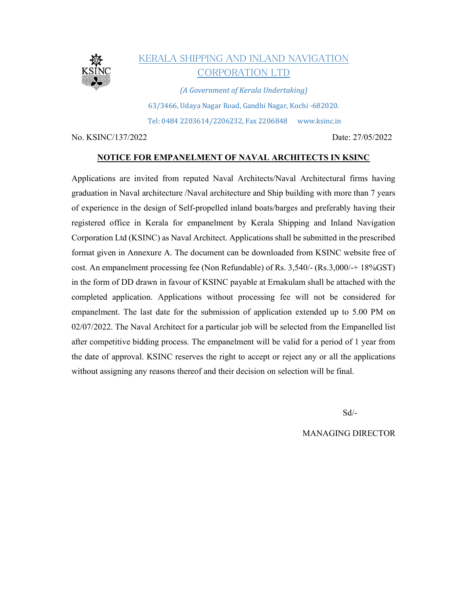

# KERALA SHIPPING AND INLAND NAVIGATION CORPORATION LTD

(A Government of Kerala Undertaking) 63/3466, Udaya Nagar Road, Gandhi Nagar, Kochi -682020. Tel: 0484 2203614/2206232, Fax 2206848 www.ksinc.in

No. KSINC/137/2022 Date: 27/05/2022

### NOTICE FOR EMPANELMENT OF NAVAL ARCHITECTS IN KSINC

Applications are invited from reputed Naval Architects/Naval Architectural firms having graduation in Naval architecture /Naval architecture and Ship building with more than 7 years of experience in the design of Self-propelled inland boats/barges and preferably having their registered office in Kerala for empanelment by Kerala Shipping and Inland Navigation Corporation Ltd (KSINC) as Naval Architect. Applications shall be submitted in the prescribed format given in Annexure A. The document can be downloaded from KSINC website free of cost. An empanelment processing fee (Non Refundable) of Rs. 3,540/- (Rs.3,000/-+ 18%GST) in the form of DD drawn in favour of KSINC payable at Ernakulam shall be attached with the completed application. Applications without processing fee will not be considered for empanelment. The last date for the submission of application extended up to 5.00 PM on 02/07/2022. The Naval Architect for a particular job will be selected from the Empanelled list after competitive bidding process. The empanelment will be valid for a period of 1 year from the date of approval. KSINC reserves the right to accept or reject any or all the applications without assigning any reasons thereof and their decision on selection will be final.

Sd/-

MANAGING DIRECTOR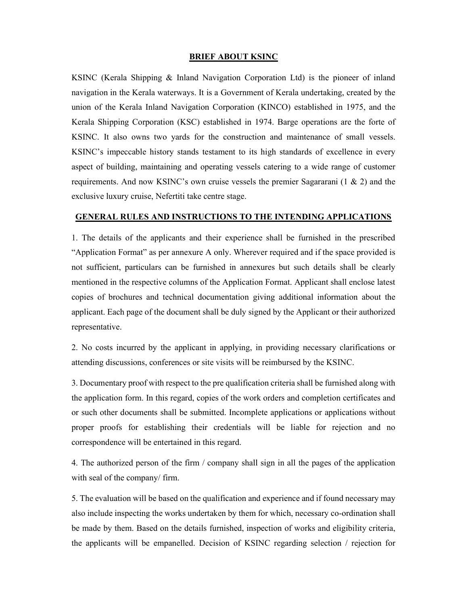#### BRIEF ABOUT KSINC

KSINC (Kerala Shipping & Inland Navigation Corporation Ltd) is the pioneer of inland navigation in the Kerala waterways. It is a Government of Kerala undertaking, created by the union of the Kerala Inland Navigation Corporation (KINCO) established in 1975, and the Kerala Shipping Corporation (KSC) established in 1974. Barge operations are the forte of KSINC. It also owns two yards for the construction and maintenance of small vessels. KSINC's impeccable history stands testament to its high standards of excellence in every aspect of building, maintaining and operating vessels catering to a wide range of customer requirements. And now KSINC's own cruise vessels the premier Sagararani (1 & 2) and the exclusive luxury cruise, Nefertiti take centre stage.

### GENERAL RULES AND INSTRUCTIONS TO THE INTENDING APPLICATIONS

1. The details of the applicants and their experience shall be furnished in the prescribed "Application Format" as per annexure A only. Wherever required and if the space provided is not sufficient, particulars can be furnished in annexures but such details shall be clearly mentioned in the respective columns of the Application Format. Applicant shall enclose latest copies of brochures and technical documentation giving additional information about the applicant. Each page of the document shall be duly signed by the Applicant or their authorized representative.

2. No costs incurred by the applicant in applying, in providing necessary clarifications or attending discussions, conferences or site visits will be reimbursed by the KSINC.

3. Documentary proof with respect to the pre qualification criteria shall be furnished along with the application form. In this regard, copies of the work orders and completion certificates and or such other documents shall be submitted. Incomplete applications or applications without proper proofs for establishing their credentials will be liable for rejection and no correspondence will be entertained in this regard.

4. The authorized person of the firm / company shall sign in all the pages of the application with seal of the company/ firm.

5. The evaluation will be based on the qualification and experience and if found necessary may also include inspecting the works undertaken by them for which, necessary co-ordination shall be made by them. Based on the details furnished, inspection of works and eligibility criteria, the applicants will be empanelled. Decision of KSINC regarding selection / rejection for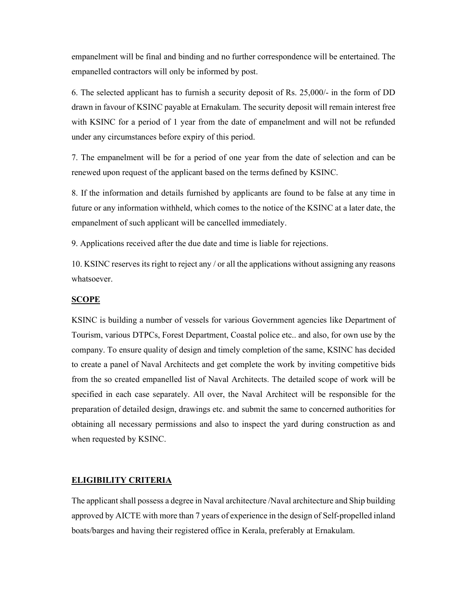empanelment will be final and binding and no further correspondence will be entertained. The empanelled contractors will only be informed by post.

6. The selected applicant has to furnish a security deposit of Rs. 25,000/- in the form of DD drawn in favour of KSINC payable at Ernakulam. The security deposit will remain interest free with KSINC for a period of 1 year from the date of empanelment and will not be refunded under any circumstances before expiry of this period.

7. The empanelment will be for a period of one year from the date of selection and can be renewed upon request of the applicant based on the terms defined by KSINC.

8. If the information and details furnished by applicants are found to be false at any time in future or any information withheld, which comes to the notice of the KSINC at a later date, the empanelment of such applicant will be cancelled immediately.

9. Applications received after the due date and time is liable for rejections.

10. KSINC reserves its right to reject any / or all the applications without assigning any reasons whatsoever.

#### SCOPE

KSINC is building a number of vessels for various Government agencies like Department of Tourism, various DTPCs, Forest Department, Coastal police etc.. and also, for own use by the company. To ensure quality of design and timely completion of the same, KSINC has decided to create a panel of Naval Architects and get complete the work by inviting competitive bids from the so created empanelled list of Naval Architects. The detailed scope of work will be specified in each case separately. All over, the Naval Architect will be responsible for the preparation of detailed design, drawings etc. and submit the same to concerned authorities for obtaining all necessary permissions and also to inspect the yard during construction as and when requested by KSINC.

#### ELIGIBILITY CRITERIA

The applicant shall possess a degree in Naval architecture /Naval architecture and Ship building approved by AICTE with more than 7 years of experience in the design of Self-propelled inland boats/barges and having their registered office in Kerala, preferably at Ernakulam.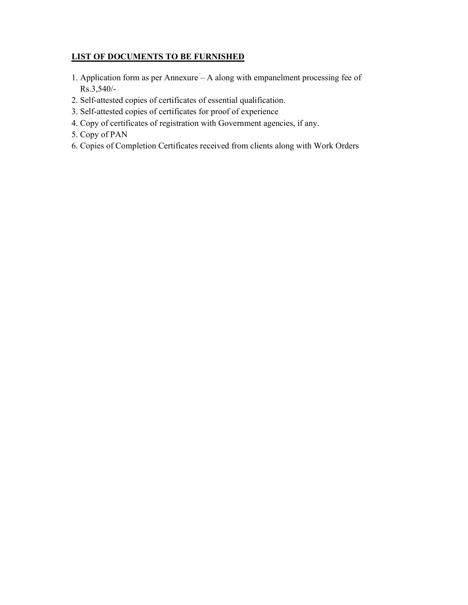# LIST OF DOCUMENTS TO BE FURNISHED

- 1. Application form as per Annexure A along with empanelment processing fee of Rs.3,540/-
- 2. Self-attested copies of certificates of essential qualification.
- 3. Self-attested copies of certificates for proof of experience
- 4. Copy of certificates of registration with Government agencies, if any.
- 5. Copy of PAN
- 6. Copies of Completion Certificates received from clients along with Work Orders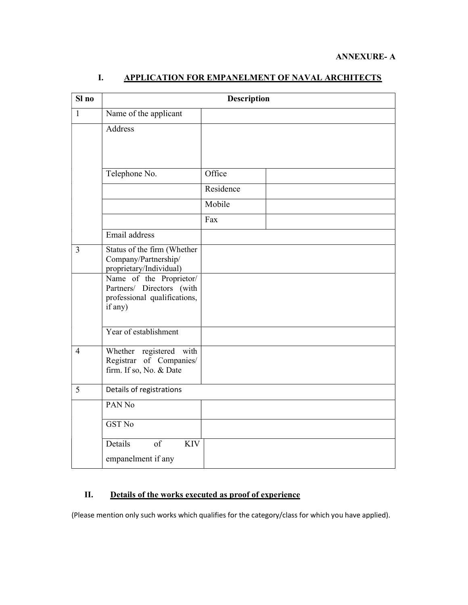| Sl no          | <b>Description</b>                                                                              |           |  |  |
|----------------|-------------------------------------------------------------------------------------------------|-----------|--|--|
| $\mathbf{1}$   | Name of the applicant                                                                           |           |  |  |
|                | Address                                                                                         |           |  |  |
|                | Telephone No.                                                                                   | Office    |  |  |
|                |                                                                                                 | Residence |  |  |
|                |                                                                                                 | Mobile    |  |  |
|                |                                                                                                 | Fax       |  |  |
|                | Email address                                                                                   |           |  |  |
| $\overline{3}$ | Status of the firm (Whether<br>Company/Partnership/<br>proprietary/Individual)                  |           |  |  |
|                | Name of the Proprietor/<br>Partners/ Directors (with<br>professional qualifications,<br>if any) |           |  |  |
|                | Year of establishment                                                                           |           |  |  |
| $\overline{4}$ | Whether registered with<br>Registrar of Companies/<br>firm. If so, No. & Date                   |           |  |  |
| 5              | Details of registrations                                                                        |           |  |  |
|                | PAN <sub>No</sub>                                                                               |           |  |  |
|                | <b>GST No</b>                                                                                   |           |  |  |
|                | $\overline{of}$<br>Details<br><b>KIV</b>                                                        |           |  |  |
|                | empanelment if any                                                                              |           |  |  |

# I. APPLICATION FOR EMPANELMENT OF NAVAL ARCHITECTS

# II. Details of the works executed as proof of experience

(Please mention only such works which qualifies for the category/class for which you have applied).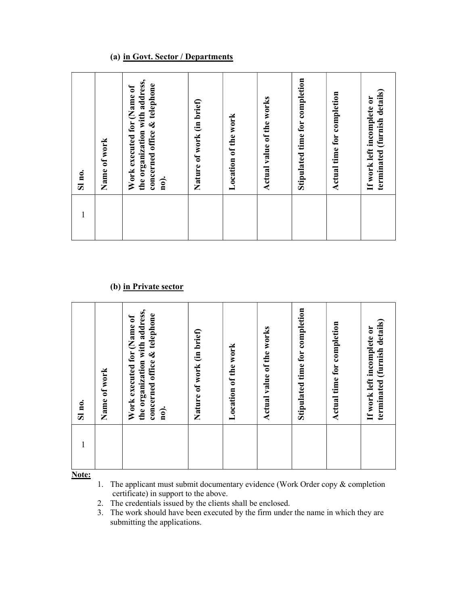## (a) in Govt. Sector / Departments

| Sl no.       | Name of work | the organization with address,<br>concerned office & telephone<br>Work executed for (Name of<br>no). | Nature of work (in brief) | Location of the work | Actual value of the works | Stipulated time for completion | time for completion<br>Actual | (furnish details)<br>If work left incomplete or<br>terminated |  |
|--------------|--------------|------------------------------------------------------------------------------------------------------|---------------------------|----------------------|---------------------------|--------------------------------|-------------------------------|---------------------------------------------------------------|--|
| $\mathbf{1}$ |              |                                                                                                      |                           |                      |                           |                                |                               |                                                               |  |

### (b) in Private sector

| Sl no. | Name of work | the organization with address,<br>concerned office & telephone<br>Work executed for (Name of<br>no). | Nature of work (in brief) | Location of the work | Actual value of the works | Stipulated time for completion | completion<br>Actual time for | (furnish details)<br>If work left incomplete or<br>terminated |  |
|--------|--------------|------------------------------------------------------------------------------------------------------|---------------------------|----------------------|---------------------------|--------------------------------|-------------------------------|---------------------------------------------------------------|--|
|        |              |                                                                                                      |                           |                      |                           |                                |                               |                                                               |  |

Note:

1. The applicant must submit documentary evidence (Work Order copy & completion certificate) in support to the above.

2. The credentials issued by the clients shall be enclosed.

3. The work should have been executed by the firm under the name in which they are submitting the applications.